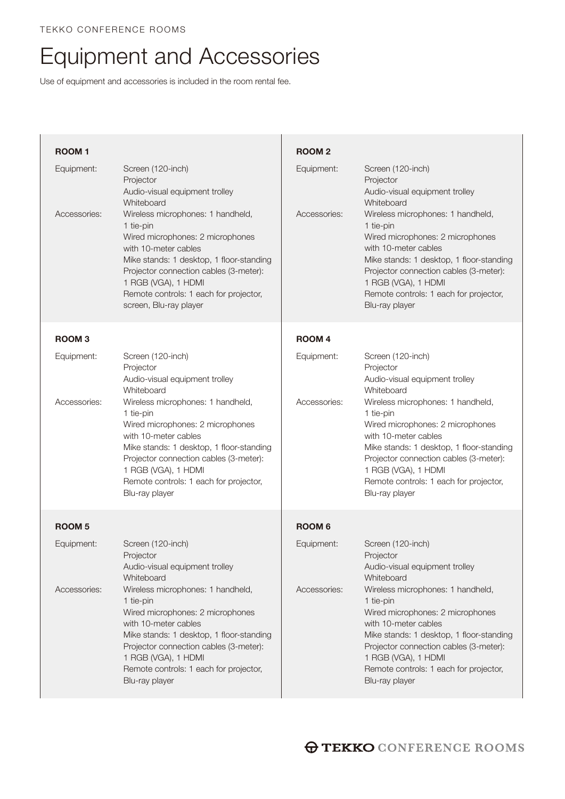## Equipment and Accessories

Use of equipment and accessories is included in the room rental fee.

| <b>ROOM1</b>  |                                                                                                                                                                                                                                                                                             | <b>ROOM2</b>  |                                                                                                                                                                                                                                                                                     |
|---------------|---------------------------------------------------------------------------------------------------------------------------------------------------------------------------------------------------------------------------------------------------------------------------------------------|---------------|-------------------------------------------------------------------------------------------------------------------------------------------------------------------------------------------------------------------------------------------------------------------------------------|
| Equipment:    | Screen (120-inch)<br>Projector<br>Audio-visual equipment trolley<br>Whiteboard                                                                                                                                                                                                              | Equipment:    | Screen (120-inch)<br>Projector<br>Audio-visual equipment trolley<br>Whiteboard                                                                                                                                                                                                      |
| Accessories:  | Wireless microphones: 1 handheld,<br>1 tie-pin<br>Wired microphones: 2 microphones<br>with 10-meter cables<br>Mike stands: 1 desktop, 1 floor-standing<br>Projector connection cables (3-meter):<br>1 RGB (VGA), 1 HDMI<br>Remote controls: 1 each for projector,<br>screen, Blu-ray player | Accessories:  | Wireless microphones: 1 handheld,<br>1 tie-pin<br>Wired microphones: 2 microphones<br>with 10-meter cables<br>Mike stands: 1 desktop, 1 floor-standing<br>Projector connection cables (3-meter):<br>1 RGB (VGA), 1 HDMI<br>Remote controls: 1 each for projector,<br>Blu-ray player |
| <b>ROOM3</b>  |                                                                                                                                                                                                                                                                                             | <b>ROOM4</b>  |                                                                                                                                                                                                                                                                                     |
| Equipment:    | Screen (120-inch)<br>Projector<br>Audio-visual equipment trolley<br>Whiteboard                                                                                                                                                                                                              | Equipment:    | Screen (120-inch)<br>Projector<br>Audio-visual equipment trolley<br>Whiteboard                                                                                                                                                                                                      |
| Accessories:  | Wireless microphones: 1 handheld,<br>1 tie-pin<br>Wired microphones: 2 microphones<br>with 10-meter cables<br>Mike stands: 1 desktop, 1 floor-standing<br>Projector connection cables (3-meter):<br>1 RGB (VGA), 1 HDMI<br>Remote controls: 1 each for projector,<br>Blu-ray player         | Accessories:  | Wireless microphones: 1 handheld,<br>1 tie-pin<br>Wired microphones: 2 microphones<br>with 10-meter cables<br>Mike stands: 1 desktop, 1 floor-standing<br>Projector connection cables (3-meter):<br>1 RGB (VGA), 1 HDMI<br>Remote controls: 1 each for projector,<br>Blu-ray player |
| <b>ROOM 5</b> |                                                                                                                                                                                                                                                                                             | <b>ROOM 6</b> |                                                                                                                                                                                                                                                                                     |
| Equipment:    | Screen (120-inch)<br>Projector<br>Audio-visual equipment trolley<br>Whiteboard                                                                                                                                                                                                              | Equipment:    | Screen (120-inch)<br>Projector<br>Audio-visual equipment trolley<br>Whiteboard                                                                                                                                                                                                      |
| Accessories:  | Wireless microphones: 1 handheld,<br>1 tie-pin<br>Wired microphones: 2 microphones<br>with 10-meter cables<br>Mike stands: 1 desktop, 1 floor-standing<br>Projector connection cables (3-meter):<br>1 RGB (VGA), 1 HDMI<br>Remote controls: 1 each for projector,<br>Blu-ray player         | Accessories:  | Wireless microphones: 1 handheld,<br>1 tie-pin<br>Wired microphones: 2 microphones<br>with 10-meter cables<br>Mike stands: 1 desktop, 1 floor-standing<br>Projector connection cables (3-meter):<br>1 RGB (VGA), 1 HDMI<br>Remote controls: 1 each for projector,<br>Blu-ray player |